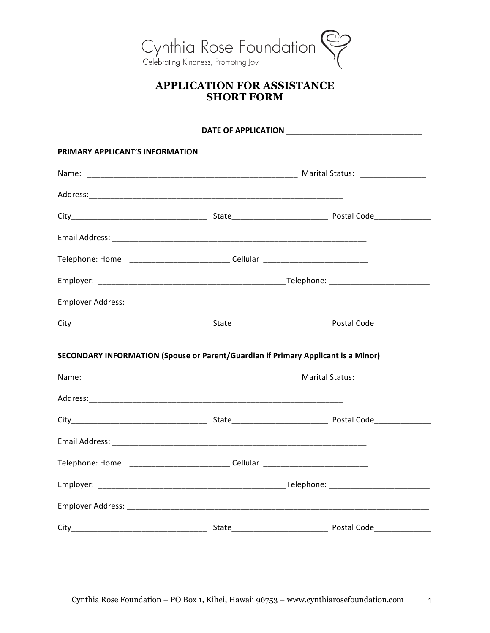

## **APPLICATION FOR ASSISTANCE SHORT FORM**

| <b>PRIMARY APPLICANT'S INFORMATION</b>                                            |  |  |  |
|-----------------------------------------------------------------------------------|--|--|--|
|                                                                                   |  |  |  |
|                                                                                   |  |  |  |
|                                                                                   |  |  |  |
|                                                                                   |  |  |  |
| Telephone: Home _______________________________Cellular ________________________  |  |  |  |
|                                                                                   |  |  |  |
|                                                                                   |  |  |  |
|                                                                                   |  |  |  |
| SECONDARY INFORMATION (Spouse or Parent/Guardian if Primary Applicant is a Minor) |  |  |  |
|                                                                                   |  |  |  |
|                                                                                   |  |  |  |
|                                                                                   |  |  |  |
|                                                                                   |  |  |  |
| Telephone: Home _______________________________Cellular ________________________  |  |  |  |
|                                                                                   |  |  |  |
|                                                                                   |  |  |  |
|                                                                                   |  |  |  |